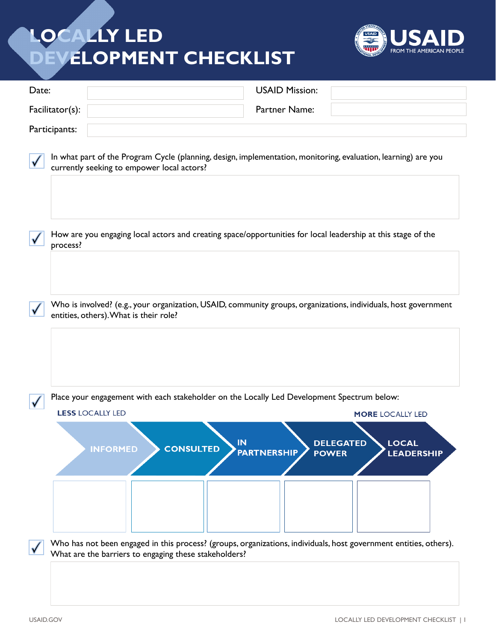## **LOCALLY LED DEVELOPMENT CHECKLIST**



| Date:           |               |                         |                                            | <b>USAID Mission:</b>                                                           |                                                                                            |                                                                                                                                                                                            |
|-----------------|---------------|-------------------------|--------------------------------------------|---------------------------------------------------------------------------------|--------------------------------------------------------------------------------------------|--------------------------------------------------------------------------------------------------------------------------------------------------------------------------------------------|
| Facilitator(s): |               | Partner Name:           |                                            |                                                                                 |                                                                                            |                                                                                                                                                                                            |
|                 | Participants: |                         |                                            |                                                                                 |                                                                                            |                                                                                                                                                                                            |
|                 |               |                         | currently seeking to empower local actors? |                                                                                 |                                                                                            | In what part of the Program Cycle (planning, design, implementation, monitoring, evaluation, learning) are you                                                                             |
|                 | process?      |                         |                                            |                                                                                 |                                                                                            | How are you engaging local actors and creating space/opportunities for local leadership at this stage of the                                                                               |
|                 |               |                         | entities, others). What is their role?     |                                                                                 |                                                                                            | Who is involved? (e.g., your organization, USAID, community groups, organizations, individuals, host government                                                                            |
|                 |               |                         |                                            |                                                                                 | Place your engagement with each stakeholder on the Locally Led Development Spectrum below: |                                                                                                                                                                                            |
|                 |               | <b>LESS LOCALLY LED</b> |                                            |                                                                                 |                                                                                            | <b>MORE LOCALLY LED</b>                                                                                                                                                                    |
|                 |               | <b>INFORMED</b>         |                                            | IN<br><b>CONSULTED</b><br>What are the barriers to engaging these stakeholders? | <b>PARTNERSHIP</b>                                                                         | <b>DELEGATED</b><br><b>LOCAL</b><br><b>POWER</b><br><b>LEADERSHIP</b><br>Who has not been engaged in this process? (groups, organizations, individuals, host government entities, others). |
|                 |               |                         |                                            |                                                                                 |                                                                                            |                                                                                                                                                                                            |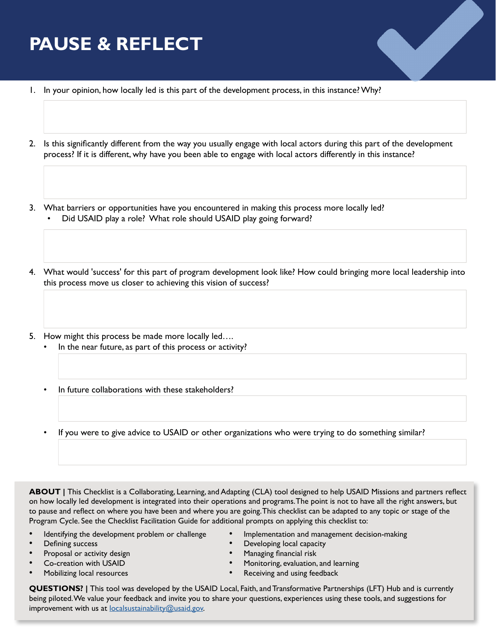## **PAUSE & REFLECT**

- 1. In your opinion, how locally led is this part of the development process, in this instance? Why?
- 2. Is this significantly different from the way you usually engage with local actors during this part of the development process? If it is different, why have you been able to engage with local actors differently in this instance?
- 3. What barriers or opportunities have you encountered in making this process more locally led? • Did USAID play a role? What role should USAID play going forward?
- 4. What would 'success' for this part of program development look like? How could bringing more local leadership into this process move us closer to achieving this vision of success?
- 5. How might this process be made more locally led….
	- In the near future, as part of this process or activity?
	- In future collaborations with these stakeholders?
	- If you were to give advice to USAID or other organizations who were trying to do something similar?

**ABOUT** | This Checklist is a Collaborating, Learning, and Adapting (CLA) tool designed to help USAID Missions and partners reflect on how locally led development is integrated into their operations and programs. The point is not to have all the right answers, but to pause and reflect on where you have been and where you are going. This checklist can be adapted to any topic or stage of the Program Cycle. See the Checklist Facilitation Guide for additional prompts on applying this checklist to:

- Identifying the development problem or challenge Implementation and management decision-making
- 
- 
- 
- 
- 
- **Defining success Developing local capacity**
- **Proposal or activity design example 3** and  $\bullet$  **Managing financial risk**
- Co-creation with USAID Monitoring, evaluation, and learning
- Mobilizing local resources Receiving and using feedback

**QUESTIONS? |** This tool was developed by the USAID Local, Faith, and Transformative Partnerships (LFT) Hub and is currently being piloted. We value your feedback and invite you to share your questions, experiences using these tools, and suggestions for improvement with us at [localsustainability@usaid.gov.](mailto:localsustainability%40usaid.gov?subject=Locally%20Led%20Development%20Checklist%20Feedback)